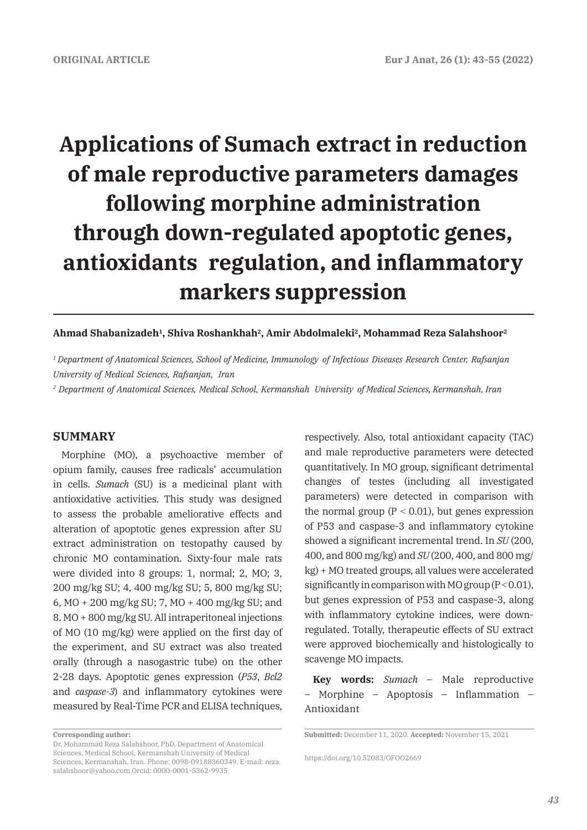# **Applications of Sumach extract in reduction of male reproductive parameters damages following morphine administration through down-regulated apoptotic genes, antioxidants regulation, and inflammatory markers suppression**

## **Ahmad Shabanizadeh1, Shiva Roshankhah2, Amir Abdolmaleki2, Mohammad Reza Salahshoor2**

*1 Department of Anatomical Sciences, School of Medicine, Immunology of Infectious Diseases Research Center, Rafsanjan University of Medical Sciences, Rafsanjan, Iran* 

*2 Department of Anatomical Sciences, Medical School, Kermanshah University of Medical Sciences, Kermanshah, Iran* 

# **SUMMARY**

Morphine (MO), a psychoactive member of opium family, causes free radicals' accumulation in cells. *Sumach* (SU) is a medicinal plant with antioxidative activities. This study was designed to assess the probable ameliorative effects and alteration of apoptotic genes expression after SU extract administration on testopathy caused by chronic MO contamination. Sixty-four male rats were divided into 8 groups: 1, normal; 2, MO; 3, 200 mg/kg SU; 4, 400 mg/kg SU; 5, 800 mg/kg SU; 6, MO + 200 mg/kg SU; 7, MO + 400 mg/kg SU; and 8. MO + 800 mg/kg SU. All intraperitoneal injections of MO (10 mg/kg) were applied on the first day of the experiment, and SU extract was also treated orally (through a nasogastric tube) on the other 2-28 days. Apoptotic genes expression (*P53*, *Bcl2*  and *caspase-3*) and inflammatory cytokines were measured by Real-Time PCR and ELISA techniques,

respectively. Also, total antioxidant capacity (TAC) and male reproductive parameters were detected quantitatively. In MO group, significant detrimental changes of testes (including all investigated parameters) were detected in comparison with the normal group  $(P < 0.01)$ , but genes expression of P53 and caspase-3 and inflammatory cytokine showed a significant incremental trend. In *SU* (200, 400, and 800 mg/kg) and *SU* (200, 400, and 800 mg/ kg) + MO treated groups, all values were accelerated significantly in comparison with MO group  $(P < 0.01)$ , but genes expression of P53 and caspase-3, along with inflammatory cytokine indices, were downregulated. Totally, therapeutic effects of SU extract were approved biochemically and histologically to scavenge MO impacts.

**Key words:** *Sumach* – Male reproductive – Morphine – Apoptosis – Inflammation – Antioxidant

**Corresponding author:** 

Dr. Mohammad Reza Salahshoor, PhD. Department of Anatomical Sciences, Medical School, Kermanshah University of Medical Sciences, Kermanshah, Iran. Phone: 0098-09188360349. E-mail: reza. salahshoor@yahoo.com Orcid: 0000-0001-5362-9935

**Submitted:** December 11, 2020. **Accepted:** November 15, 2021

https://doi.org/10.52083/OFOO2669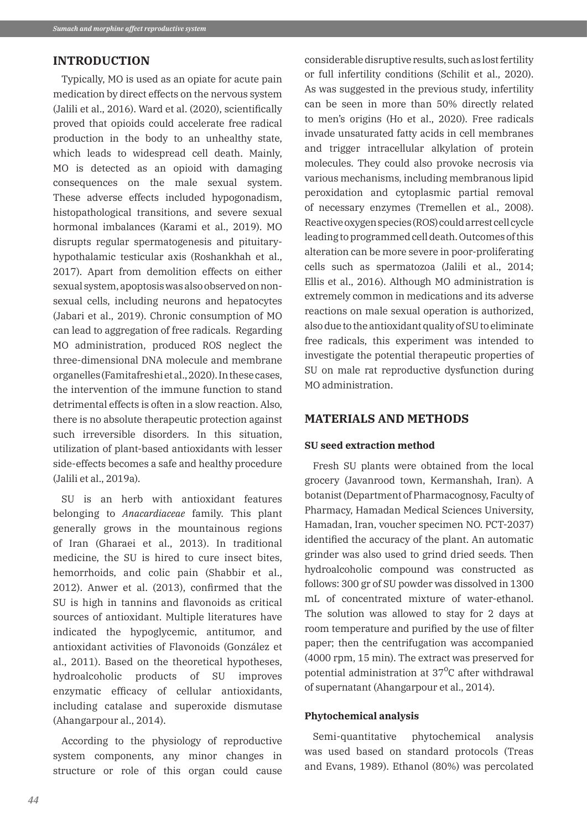## **INTRODUCTION**

Typically, MO is used as an opiate for acute pain medication by direct effects on the nervous system (Jalili et al., 2016). Ward et al. (2020), scientifically proved that opioids could accelerate free radical production in the body to an unhealthy state, which leads to widespread cell death. Mainly, MO is detected as an opioid with damaging consequences on the male sexual system. These adverse effects included hypogonadism, histopathological transitions, and severe sexual hormonal imbalances (Karami et al., 2019). MO disrupts regular spermatogenesis and pituitaryhypothalamic testicular axis (Roshankhah et al., 2017). Apart from demolition effects on either sexual system, apoptosis was also observed on nonsexual cells, including neurons and hepatocytes (Jabari et al., 2019). Chronic consumption of MO can lead to aggregation of free radicals. Regarding MO administration, produced ROS neglect the three-dimensional DNA molecule and membrane organelles (Famitafreshi et al., 2020). In these cases, the intervention of the immune function to stand detrimental effects is often in a slow reaction. Also, there is no absolute therapeutic protection against such irreversible disorders. In this situation, utilization of plant-based antioxidants with lesser side-effects becomes a safe and healthy procedure (Jalili et al., 2019a).

SU is an herb with antioxidant features belonging to *Anacardiaceae* family. This plant generally grows in the mountainous regions of Iran (Gharaei et al., 2013). In traditional medicine, the SU is hired to cure insect bites, hemorrhoids, and colic pain (Shabbir et al., 2012). Anwer et al. (2013), confirmed that the SU is high in tannins and flavonoids as critical sources of antioxidant. Multiple literatures have indicated the hypoglycemic, antitumor, and antioxidant activities of Flavonoids (González et al., 2011). Based on the theoretical hypotheses, hydroalcoholic products of SU improves enzymatic efficacy of cellular antioxidants, including catalase and superoxide dismutase (Ahangarpour al., 2014).

According to the physiology of reproductive system components, any minor changes in structure or role of this organ could cause considerable disruptive results, such as lost fertility or full infertility conditions (Schilit et al., 2020). As was suggested in the previous study, infertility can be seen in more than 50% directly related to men's origins (Ho et al., 2020). Free radicals invade unsaturated fatty acids in cell membranes and trigger intracellular alkylation of protein molecules. They could also provoke necrosis via various mechanisms, including membranous lipid peroxidation and cytoplasmic partial removal of necessary enzymes (Tremellen et al., 2008). Reactive oxygen species (ROS) could arrest cell cycle leading to programmed cell death. Outcomes of this alteration can be more severe in poor-proliferating cells such as spermatozoa (Jalili et al., 2014; Ellis et al., 2016). Although MO administration is extremely common in medications and its adverse reactions on male sexual operation is authorized, also due to the antioxidant quality of SU to eliminate free radicals, this experiment was intended to investigate the potential therapeutic properties of SU on male rat reproductive dysfunction during MO administration.

# **MATERIALS AND METHODS**

#### **SU seed extraction method**

Fresh SU plants were obtained from the local grocery (Javanrood town, Kermanshah, Iran). A botanist (Department of Pharmacognosy, Faculty of Pharmacy, Hamadan Medical Sciences University, Hamadan, Iran, voucher specimen NO. PCT-2037) identified the accuracy of the plant. An automatic grinder was also used to grind dried seeds. Then hydroalcoholic compound was constructed as follows: 300 gr of SU powder was dissolved in 1300 mL of concentrated mixture of water-ethanol. The solution was allowed to stay for 2 days at room temperature and purified by the use of filter paper; then the centrifugation was accompanied (4000 rpm, 15 min). The extract was preserved for potential administration at  $37^{\circ}$ C after withdrawal of supernatant (Ahangarpour et al., 2014).

## **Phytochemical analysis**

Semi-quantitative phytochemical analysis was used based on standard protocols (Treas and Evans, 1989). Ethanol (80%) was percolated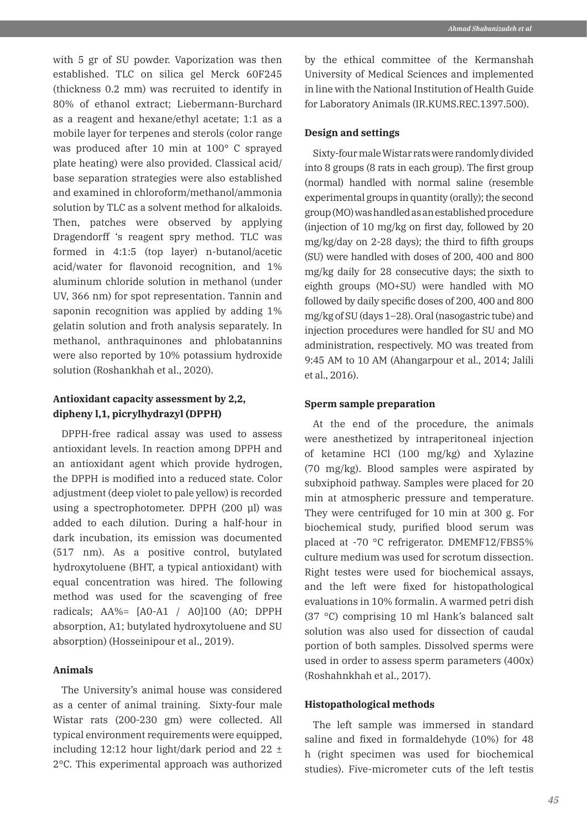with 5 gr of SU powder. Vaporization was then established. TLC on silica gel Merck 60F245 (thickness 0.2 mm) was recruited to identify in 80% of ethanol extract; Liebermann-Burchard as a reagent and hexane/ethyl acetate; 1:1 as a mobile layer for terpenes and sterols (color range was produced after 10 min at 100° C sprayed plate heating) were also provided. Classical acid/ base separation strategies were also established and examined in chloroform/methanol/ammonia solution by TLC as a solvent method for alkaloids. Then, patches were observed by applying Dragendorff 's reagent spry method. TLC was formed in 4:1:5 (top layer) n-butanol/acetic acid/water for flavonoid recognition, and 1% aluminum chloride solution in methanol (under UV, 366 nm) for spot representation. Tannin and saponin recognition was applied by adding 1% gelatin solution and froth analysis separately. In methanol, anthraquinones and phlobatannins were also reported by 10% potassium hydroxide solution (Roshankhah et al., 2020).

# **Antioxidant capacity assessment by 2,2, dipheny l,1, picrylhydrazyl (DPPH)**

DPPH-free radical assay was used to assess antioxidant levels. In reaction among DPPH and an antioxidant agent which provide hydrogen, the DPPH is modified into a reduced state. Color adjustment (deep violet to pale yellow) is recorded using a spectrophotometer. DPPH (200 μl) was added to each dilution. During a half-hour in dark incubation, its emission was documented (517 nm). As a positive control, butylated hydroxytoluene (BHT, a typical antioxidant) with equal concentration was hired. The following method was used for the scavenging of free radicals; AA%= [A0-A1 / A0]100 (A0; DPPH absorption, A1; butylated hydroxytoluene and SU absorption) (Hosseinipour et al., 2019).

## **Animals**

The University's animal house was considered as a center of animal training. Sixty-four male Wistar rats (200-230 gm) were collected. All typical environment requirements were equipped, including 12:12 hour light/dark period and  $22 \pm$ 2°C. This experimental approach was authorized by the ethical committee of the Kermanshah University of Medical Sciences and implemented in line with the National Institution of Health Guide for Laboratory Animals (IR.KUMS.REC.1397.500).

#### **Design and settings**

Sixty-four male Wistar rats were randomly divided into 8 groups (8 rats in each group). The first group (normal) handled with normal saline (resemble experimental groups in quantity (orally); the second group (MO) was handled as an established procedure (injection of 10 mg/kg on first day, followed by 20 mg/kg/day on 2-28 days); the third to fifth groups (SU) were handled with doses of 200, 400 and 800 mg/kg daily for 28 consecutive days; the sixth to eighth groups (MO+SU) were handled with MO followed by daily specific doses of 200, 400 and 800 mg/kg of SU (days 1–28). Oral (nasogastric tube) and injection procedures were handled for SU and MO administration, respectively. MO was treated from 9:45 AM to 10 AM (Ahangarpour et al., 2014; Jalili et al., 2016).

## **Sperm sample preparation**

At the end of the procedure, the animals were anesthetized by intraperitoneal injection of ketamine HCl (100 mg/kg) and Xylazine (70 mg/kg). Blood samples were aspirated by subxiphoid pathway. Samples were placed for 20 min at atmospheric pressure and temperature. They were centrifuged for 10 min at 300 g. For biochemical study, purified blood serum was placed at -70 °C refrigerator. DMEMF12/FBS5% culture medium was used for scrotum dissection. Right testes were used for biochemical assays, and the left were fixed for histopathological evaluations in 10% formalin. A warmed petri dish (37 °C) comprising 10 ml Hank's balanced salt solution was also used for dissection of caudal portion of both samples. Dissolved sperms were used in order to assess sperm parameters (400x) (Roshahnkhah et al., 2017).

### **Histopathological methods**

The left sample was immersed in standard saline and fixed in formaldehyde (10%) for 48 h (right specimen was used for biochemical studies). Five-micrometer cuts of the left testis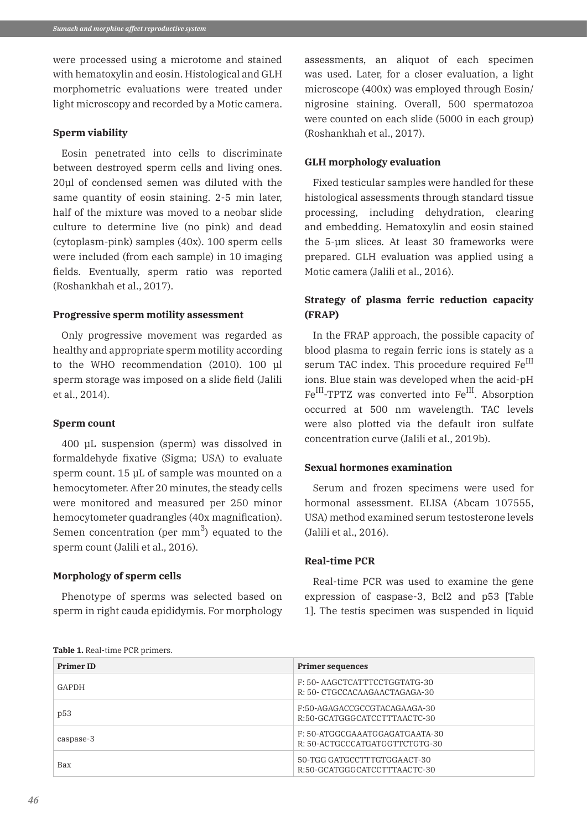were processed using a microtome and stained with hematoxylin and eosin. Histological and GLH morphometric evaluations were treated under light microscopy and recorded by a Motic camera.

#### **Sperm viability**

Eosin penetrated into cells to discriminate between destroyed sperm cells and living ones. 20μl of condensed semen was diluted with the same quantity of eosin staining. 2-5 min later, half of the mixture was moved to a neobar slide culture to determine live (no pink) and dead (cytoplasm-pink) samples (40x). 100 sperm cells were included (from each sample) in 10 imaging fields. Eventually, sperm ratio was reported (Roshankhah et al., 2017).

#### **Progressive sperm motility assessment**

Only progressive movement was regarded as healthy and appropriate sperm motility according to the WHO recommendation (2010). 100 μl sperm storage was imposed on a slide field (Jalili et al., 2014).

#### **Sperm count**

400 μL suspension (sperm) was dissolved in formaldehyde fixative (Sigma; USA) to evaluate sperm count. 15 μL of sample was mounted on a hemocytometer. After 20 minutes, the steady cells were monitored and measured per 250 minor hemocytometer quadrangles (40x magnification). Semen concentration (per  $mm<sup>3</sup>$ ) equated to the sperm count (Jalili et al., 2016).

## **Morphology of sperm cells**

Phenotype of sperms was selected based on sperm in right cauda epididymis. For morphology

assessments, an aliquot of each specimen was used. Later, for a closer evaluation, a light microscope (400x) was employed through Eosin/ nigrosine staining. Overall, 500 spermatozoa were counted on each slide (5000 in each group) (Roshankhah et al., 2017).

#### **GLH morphology evaluation**

Fixed testicular samples were handled for these histological assessments through standard tissue processing, including dehydration, clearing and embedding. Hematoxylin and eosin stained the 5-μm slices. At least 30 frameworks were prepared. GLH evaluation was applied using a Motic camera (Jalili et al., 2016).

# **Strategy of plasma ferric reduction capacity (FRAP)**

In the FRAP approach, the possible capacity of blood plasma to regain ferric ions is stately as a serum TAC index. This procedure required Fe<sup>III</sup> ions. Blue stain was developed when the acid-pH Fe<sup>III</sup>-TPTZ was converted into Fe<sup>III</sup>. Absorption occurred at 500 nm wavelength. TAC levels were also plotted via the default iron sulfate concentration curve (Jalili et al., 2019b).

#### **Sexual hormones examination**

Serum and frozen specimens were used for hormonal assessment. ELISA (Abcam 107555, USA) method examined serum testosterone levels (Jalili et al., 2016).

#### **Real-time PCR**

Real-time PCR was used to examine the gene expression of caspase-3, Bcl2 and p53 [Table 1]. The testis specimen was suspended in liquid

|  |  | Table 1. Real-time PCR primers. |
|--|--|---------------------------------|
|--|--|---------------------------------|

| <b>Primer ID</b> | <b>Primer sequences</b>                                          |  |
|------------------|------------------------------------------------------------------|--|
| GAPDH            | F: 50- AAGCTCATTTCCTGGTATG-30<br>R: 50- CTGCCACAAGAACTAGAGA-30   |  |
| p53              | F:50-AGAGACCGCCGTACAGAAGA-30<br>R:50-GCATGGGCATCCTTTAACTC-30     |  |
| caspase-3        | F: 50-ATGGCGAAATGGAGATGAATA-30<br>R: 50-ACTGCCCATGATGGTTCTGTG-30 |  |
| Bax              | 50-TGG GATGCCTTTGTGGAACT-30<br>R:50-GCATGGCATCCTTTAACTC-30       |  |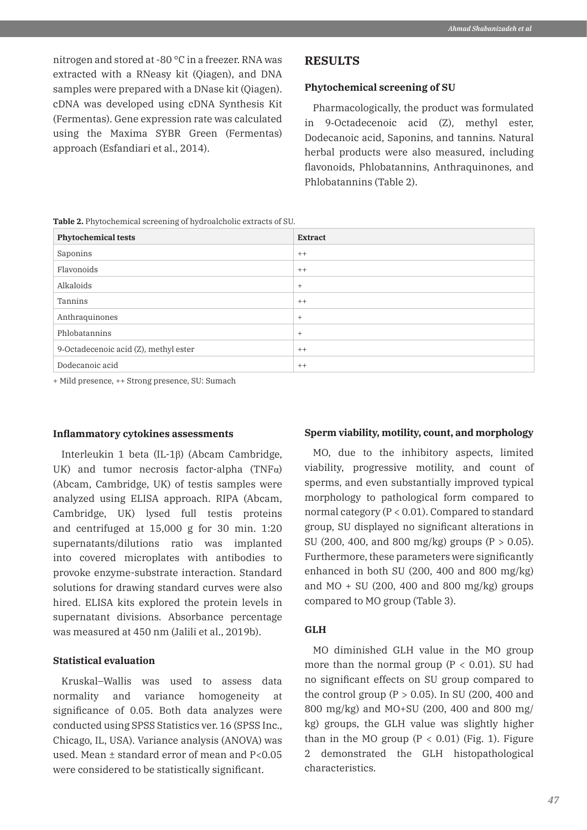nitrogen and stored at -80 °C in a freezer. RNA was extracted with a RNeasy kit (Qiagen), and DNA samples were prepared with a DNase kit (Qiagen). cDNA was developed using cDNA Synthesis Kit (Fermentas). Gene expression rate was calculated using the Maxima SYBR Green (Fermentas) approach (Esfandiari et al., 2014).

## **RESULTS**

#### **Phytochemical screening of SU**

Pharmacologically, the product was formulated in 9‐Octadecenoic acid (Z), methyl ester, Dodecanoic acid, Saponins, and tannins. Natural herbal products were also measured, including flavonoids, Phlobatannins, Anthraquinones, and Phlobatannins (Table 2).

**Table 2.** Phytochemical screening of hydroalcholic extracts of SU.

| <b>Phytochemical tests</b>            | <b>Extract</b> |
|---------------------------------------|----------------|
| Saponins                              | $++$           |
| Flavonoids                            | $++$           |
| Alkaloids                             | $+$            |
| Tannins                               | $++$           |
| Anthraquinones                        | $+$            |
| Phlobatannins                         | $^{+}$         |
| 9-Octadecenoic acid (Z), methyl ester | $++$           |
| Dodecanoic acid                       | $++$           |

+ Mild presence, ++ Strong presence, SU: Sumach

#### **Inflammatory cytokines assessments**

Interleukin 1 beta (IL-1β) (Abcam Cambridge, UK) and tumor necrosis factor-alpha  $(TNF\alpha)$ (Abcam, Cambridge, UK) of testis samples were analyzed using ELISA approach. RIPA (Abcam, Cambridge, UK) lysed full testis proteins and centrifuged at 15,000 g for 30 min. 1:20 supernatants/dilutions ratio was implanted into covered microplates with antibodies to provoke enzyme-substrate interaction. Standard solutions for drawing standard curves were also hired. ELISA kits explored the protein levels in supernatant divisions. Absorbance percentage was measured at 450 nm (Jalili et al., 2019b).

#### **Statistical evaluation**

Kruskal–Wallis was used to assess data normality and variance homogeneity at significance of 0.05. Both data analyzes were conducted using SPSS Statistics ver. 16 (SPSS Inc., Chicago, IL, USA). Variance analysis (ANOVA) was used. Mean ± standard error of mean and P<0.05 were considered to be statistically significant.

## **Sperm viability, motility, count, and morphology**

MO, due to the inhibitory aspects, limited viability, progressive motility, and count of sperms, and even substantially improved typical morphology to pathological form compared to normal category (P < 0.01). Compared to standard group, SU displayed no significant alterations in SU (200, 400, and 800 mg/kg) groups (P  $> 0.05$ ). Furthermore, these parameters were significantly enhanced in both SU (200, 400 and 800 mg/kg) and  $MO + SU(200, 400$  and  $800$  mg/kg) groups compared to MO group (Table 3).

## **GLH**

MO diminished GLH value in the MO group more than the normal group  $(P < 0.01)$ . SU had no significant effects on SU group compared to the control group ( $P > 0.05$ ). In SU (200, 400 and 800 mg/kg) and MO+SU (200, 400 and 800 mg/ kg) groups, the GLH value was slightly higher than in the MO group  $(P < 0.01)$  (Fig. 1). Figure 2 demonstrated the GLH histopathological characteristics.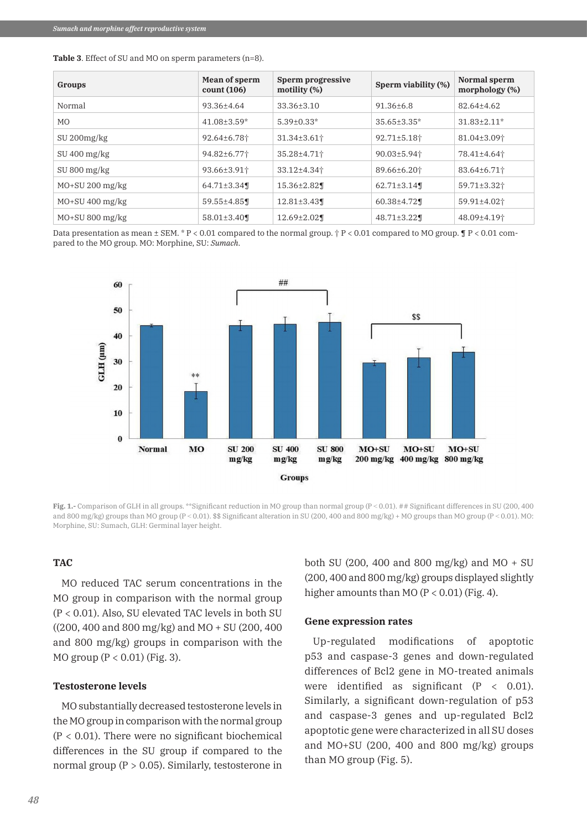| <b>Table 3.</b> Effect of SU and MO on sperm parameters (n=8). |  |
|----------------------------------------------------------------|--|
|----------------------------------------------------------------|--|

| Groups            | Mean of sperm<br>count(106) | Sperm progressive<br>motility $(\%)$ | Sperm viability (%)           | Normal sperm<br>morphology $(\%)$ |
|-------------------|-----------------------------|--------------------------------------|-------------------------------|-----------------------------------|
| Normal            | 93.36±4.64                  | $33.36 \pm 3.10$                     | $91.36 + 6.8$                 | $82.64 + 4.62$                    |
| M <sub>O</sub>    | $41.08 \pm 3.59^*$          | $5.39 + 0.33*$                       | $35.65 + 3.35*$               | $31.83 \pm 2.11^*$                |
| $SU 200$ mg/ $kg$ | 92.64±6.78†                 | $31.34 \pm 3.61$ <sup>+</sup>        | $92.71 \pm 5.18$ <sup>+</sup> | 81.04±3.09†                       |
| $SU 400$ mg/kg    | 94.82±6.77†                 | 35.28±4.71†                          | $90.03 \pm 5.94$              | 78.41±4.64 <sup>+</sup>           |
| $SU 800$ mg/kg    | 93.66±3.91 <sup>+</sup>     | 33.12±4.34†                          | 89.66±6.201                   | 83.64±6.71†                       |
| $MO+SU 200$ mg/kg | 64.71±3.34¶                 | $15.36 \pm 2.82$                     | $62.71 \pm 3.14$              | 59.71±3.32†                       |
| $MO+SU$ 400 mg/kg | 59.55±4.85¶                 | $12.81 \pm 3.43$                     | $60.38 \pm 4.72$              | 59.91±4.02†                       |
| $MO+SU 800$ mg/kg | $58.01 \pm 3.40$            | $12.69 \pm 2.02$                     | $48.71 \pm 3.22$              | 48.09±4.19†                       |

Data presentation as mean  $\pm$  SEM. \* P < 0.01 compared to the normal group.  $\dagger$  P < 0.01 compared to MO group.  $\P$  P < 0.01 compared to the MO group. MO: Morphine, SU: *Sumach*.



**Fig. 1.-** Comparison of GLH in all groups. \*\*Significant reduction in MO group than normal group (P < 0.01). ## Significant differences in SU (200, 400) and 800 mg/kg) groups than MO group (P < 0.01). \$\$ Significant alteration in SU (200, 400 and 800 mg/kg) + MO groups than MO group (P < 0.01). MO: Morphine, SU: Sumach, GLH: Germinal layer height.

## **TAC**

MO reduced TAC serum concentrations in the MO group in comparison with the normal group (P < 0.01). Also, SU elevated TAC levels in both SU ((200, 400 and 800 mg/kg) and MO + SU (200, 400 and 800 mg/kg) groups in comparison with the MO group ( $P < 0.01$ ) (Fig. 3).

#### **Testosterone levels**

MO substantially decreased testosterone levels in the MO group in comparison with the normal group  $(P < 0.01)$ . There were no significant biochemical differences in the SU group if compared to the normal group ( $P > 0.05$ ). Similarly, testosterone in

both SU (200, 400 and 800 mg/kg) and  $MO + SU$ (200, 400 and 800 mg/kg) groups displayed slightly higher amounts than MO  $(P < 0.01)$  (Fig. 4).

### **Gene expression rates**

Up-regulated modifications of apoptotic p53 and caspase-3 genes and down-regulated differences of Bcl2 gene in MO-treated animals were identified as significant  $(P < 0.01)$ . Similarly, a significant down-regulation of p53 and caspase-3 genes and up-regulated Bcl2 apoptotic gene were characterized in all SU doses and MO+SU (200, 400 and 800 mg/kg) groups than MO group (Fig. 5).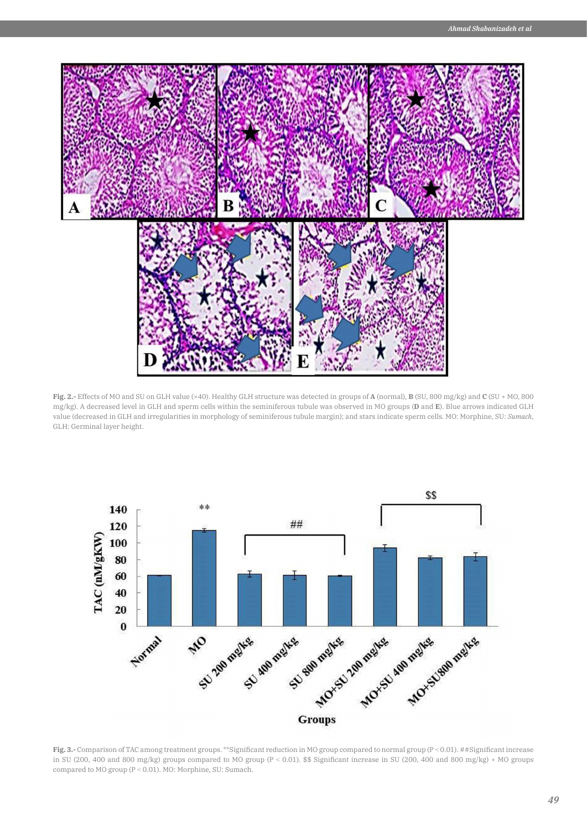

**Fig. 2.-** Effects of MO and SU on GLH value (×40). Healthy GLH structure was detected in groups of **A** (normal), **B** (SU, 800 mg/kg) and **C** (SU + MO, 800 mg/kg). A decreased level in GLH and sperm cells within the seminiferous tubule was observed in MO groups (**D** and **E**). Blue arrows indicated GLH value (decreased in GLH and irregularities in morphology of seminiferous tubule margin); and stars indicate sperm cells. MO: Morphine, SU: *Sumach*, GLH: Germinal layer height.



Fig. 3.- Comparison of TAC among treatment groups. \*\*Significant reduction in MO group compared to normal group (P < 0.01). ##Significant increase in SU (200, 400 and 800 mg/kg) groups compared to MO group (P ˂ 0.01). \$\$ Significant increase in SU (200, 400 and 800 mg/kg) + MO groups compared to MO group (P ˂ 0.01). MO: Morphine, SU: Sumach.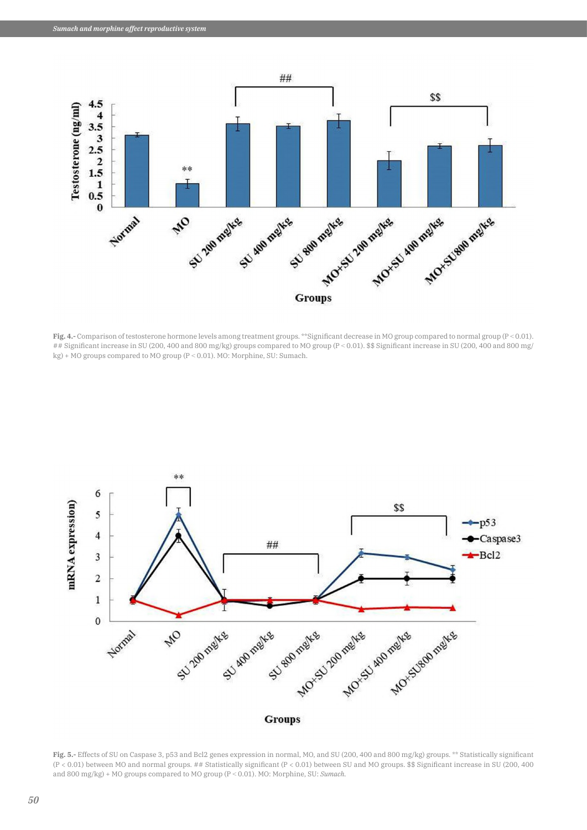

**Fig. 4.-** Comparison of testosterone hormone levels among treatment groups. \*\*Significant decrease in MO group compared to normal group (P ˂ 0.01). ## Significant increase in SU (200, 400 and 800 mg/kg) groups compared to MO group (P < 0.01). \$\$ Significant increase in SU (200, 400 and 800 mg/ kg) + MO groups compared to MO group (P ˂ 0.01). MO: Morphine, SU: Sumach.



**Fig. 5.-** Effects of SU on Caspase 3, p53 and Bcl2 genes expression in normal, MO, and SU (200, 400 and 800 mg/kg) groups. \*\* Statistically significant (P < 0.01) between MO and normal groups. ## Statistically significant (P < 0.01) between SU and MO groups. \$\$ Significant increase in SU (200, 400 and 800 mg/kg) + MO groups compared to MO group (P ˂ 0.01). MO: Morphine, SU: *Sumach.*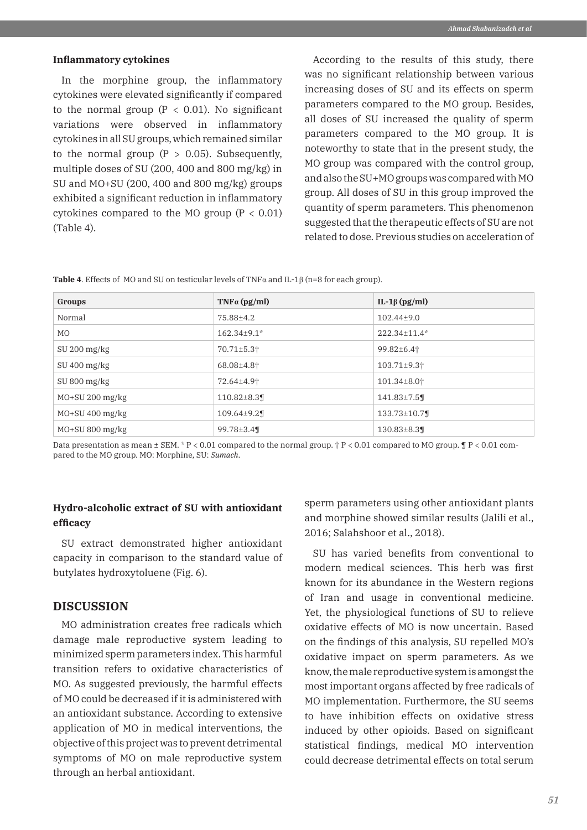#### **Inflammatory cytokines**

In the morphine group, the inflammatory cytokines were elevated significantly if compared to the normal group ( $P < 0.01$ ). No significant variations were observed in inflammatory cytokines in all SU groups, which remained similar to the normal group  $(P > 0.05)$ . Subsequently, multiple doses of SU (200, 400 and 800 mg/kg) in SU and MO+SU (200, 400 and 800 mg/kg) groups exhibited a significant reduction in inflammatory cytokines compared to the MO group  $(P < 0.01)$ (Table 4).

According to the results of this study, there was no significant relationship between various increasing doses of SU and its effects on sperm parameters compared to the MO group. Besides, all doses of SU increased the quality of sperm parameters compared to the MO group. It is noteworthy to state that in the present study, the MO group was compared with the control group, and also the SU+MO groups was compared with MO group. All doses of SU in this group improved the quantity of sperm parameters. This phenomenon suggested that the therapeutic effects of SU are not related to dose. Previous studies on acceleration of

**Table 4**. Effects of MO and SU on testicular levels of TNFα and IL-1β (n=8 for each group).

| Groups            | $TNF\alpha$ (pg/ml)          | IL-1β (pg/ml)                 |
|-------------------|------------------------------|-------------------------------|
| Normal            | 75.88±4.2                    | $102.44 \pm 9.0$              |
| MO.               | $162.34 \pm 9.1^*$           | 222.34±11.4*                  |
| $SU 200$ mg/kg    | $70.71 \pm 5.3$ <sup>+</sup> | 99.82±6.41                    |
| $SU 400$ mg/kg    | $68.08{\pm}4.8$ <sup>†</sup> | 103.71±9.3†                   |
| $SU 800$ mg/kg    | 72.64±4.9 <sup>+</sup>       | $101.34 \pm 8.0$ <sup>+</sup> |
| $MO+SU 200$ mg/kg | $110.82 \pm 8.3$             | $141.83 \pm 7.5$              |
| $MO+SU$ 400 mg/kg | $109.64 \pm 9.2$             | 133.73±10.7¶                  |
| $MO+SU 800$ mg/kg | 99.78 $\pm$ 3.4¶             | $130.83 \pm 8.3$              |

Data presentation as mean  $\pm$  SEM. \* P < 0.01 compared to the normal group.  $\dagger$  P < 0.01 compared to MO group.  $\P$  P < 0.01 compared to the MO group. MO: Morphine, SU: *Sumach*.

## **Hydro-alcoholic extract of SU with antioxidant efficacy**

SU extract demonstrated higher antioxidant capacity in comparison to the standard value of butylates hydroxytoluene (Fig. 6).

## **DISCUSSION**

MO administration creates free radicals which damage male reproductive system leading to minimized sperm parameters index. This harmful transition refers to oxidative characteristics of MO. As suggested previously, the harmful effects of MO could be decreased if it is administered with an antioxidant substance. According to extensive application of MO in medical interventions, the objective of this project was to prevent detrimental symptoms of MO on male reproductive system through an herbal antioxidant.

sperm parameters using other antioxidant plants and morphine showed similar results (Jalili et al., 2016; Salahshoor et al., 2018).

SU has varied benefits from conventional to modern medical sciences. This herb was first known for its abundance in the Western regions of Iran and usage in conventional medicine. Yet, the physiological functions of SU to relieve oxidative effects of MO is now uncertain. Based on the findings of this analysis, SU repelled MO's oxidative impact on sperm parameters. As we know, the male reproductive system is amongst the most important organs affected by free radicals of MO implementation. Furthermore, the SU seems to have inhibition effects on oxidative stress induced by other opioids. Based on significant statistical findings, medical MO intervention could decrease detrimental effects on total serum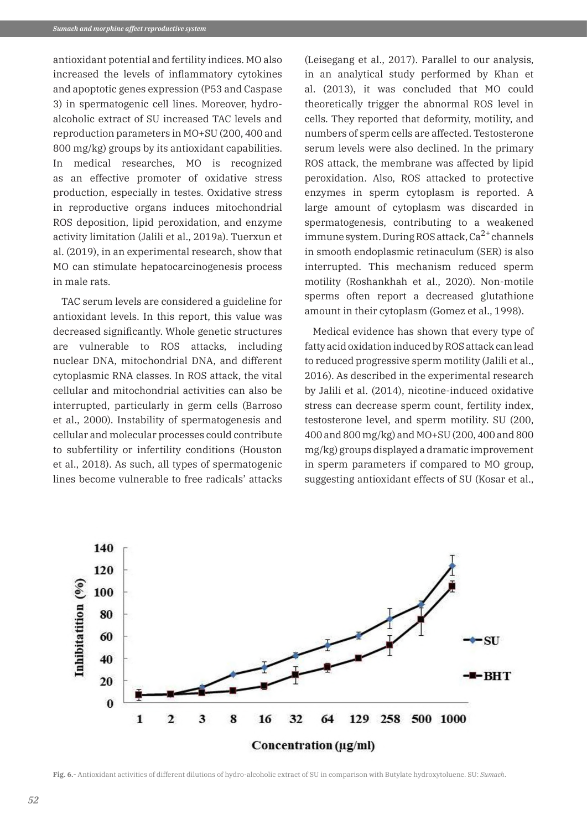antioxidant potential and fertility indices. MO also increased the levels of inflammatory cytokines and apoptotic genes expression (P53 and Caspase 3) in spermatogenic cell lines. Moreover, hydroalcoholic extract of SU increased TAC levels and reproduction parameters in MO+SU (200, 400 and 800 mg/kg) groups by its antioxidant capabilities. In medical researches, MO is recognized as an effective promoter of oxidative stress production, especially in testes. Oxidative stress in reproductive organs induces mitochondrial ROS deposition, lipid peroxidation, and enzyme activity limitation (Jalili et al., 2019a). Tuerxun et al. (2019), in an experimental research, show that MO can stimulate hepatocarcinogenesis process in male rats.

TAC serum levels are considered a guideline for antioxidant levels. In this report, this value was decreased significantly. Whole genetic structures are vulnerable to ROS attacks, including nuclear DNA, mitochondrial DNA, and different cytoplasmic RNA classes. In ROS attack, the vital cellular and mitochondrial activities can also be interrupted, particularly in germ cells (Barroso et al., 2000). Instability of spermatogenesis and cellular and molecular processes could contribute to subfertility or infertility conditions (Houston et al., 2018). As such, all types of spermatogenic lines become vulnerable to free radicals' attacks

(Leisegang et al., 2017). Parallel to our analysis, in an analytical study performed by Khan et al. (2013), it was concluded that MO could theoretically trigger the abnormal ROS level in cells. They reported that deformity, motility, and numbers of sperm cells are affected. Testosterone serum levels were also declined. In the primary ROS attack, the membrane was affected by lipid peroxidation. Also, ROS attacked to protective enzymes in sperm cytoplasm is reported. A large amount of cytoplasm was discarded in spermatogenesis, contributing to a weakened immune system. During ROS attack,  $Ca^{2+}$  channels in smooth endoplasmic retinaculum (SER) is also interrupted. This mechanism reduced sperm motility (Roshankhah et al., 2020). Non-motile sperms often report a decreased glutathione amount in their cytoplasm (Gomez et al., 1998).

Medical evidence has shown that every type of fatty acid oxidation induced by ROS attack can lead to reduced progressive sperm motility (Jalili et al., 2016). As described in the experimental research by Jalili et al. (2014), nicotine-induced oxidative stress can decrease sperm count, fertility index, testosterone level, and sperm motility. SU (200, 400 and 800 mg/kg) and MO+SU (200, 400 and 800 mg/kg) groups displayed a dramatic improvement in sperm parameters if compared to MO group, suggesting antioxidant effects of SU (Kosar et al.,



**Fig. 6.-** Antioxidant activities of different dilutions of hydro-alcoholic extract of SU in comparison with Butylate hydroxytoluene. SU: *Sumach*.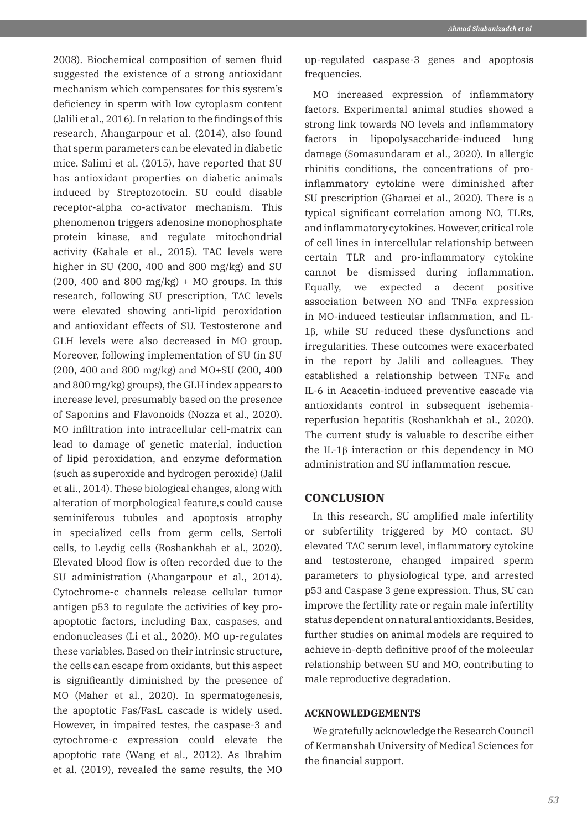2008). Biochemical composition of semen fluid suggested the existence of a strong antioxidant mechanism which compensates for this system's deficiency in sperm with low cytoplasm content (Jalili et al., 2016). In relation to the findings of this research, Ahangarpour et al. (2014), also found that sperm parameters can be elevated in diabetic mice. Salimi et al. (2015), have reported that SU has antioxidant properties on diabetic animals induced by Streptozotocin. SU could disable receptor-alpha co-activator mechanism. This phenomenon triggers adenosine monophosphate protein kinase, and regulate mitochondrial activity (Kahale et al., 2015). TAC levels were higher in SU (200, 400 and 800 mg/kg) and SU  $(200, 400$  and  $800$  mg/kg) + MO groups. In this research, following SU prescription, TAC levels were elevated showing anti-lipid peroxidation and antioxidant effects of SU. Testosterone and GLH levels were also decreased in MO group. Moreover, following implementation of SU (in SU (200, 400 and 800 mg/kg) and MO+SU (200, 400 and 800 mg/kg) groups), the GLH index appears to increase level, presumably based on the presence of Saponins and Flavonoids (Nozza et al., 2020). MO infiltration into intracellular cell-matrix can lead to damage of genetic material, induction of lipid peroxidation, and enzyme deformation (such as superoxide and hydrogen peroxide) (Jalil et ali., 2014). These biological changes, along with alteration of morphological feature,s could cause seminiferous tubules and apoptosis atrophy in specialized cells from germ cells, Sertoli cells, to Leydig cells (Roshankhah et al., 2020). Elevated blood flow is often recorded due to the SU administration (Ahangarpour et al., 2014). Cytochrome-c channels release cellular tumor antigen p53 to regulate the activities of key proapoptotic factors, including Bax, caspases, and endonucleases (Li et al., 2020). MO up-regulates these variables. Based on their intrinsic structure, the cells can escape from oxidants, but this aspect is significantly diminished by the presence of MO (Maher et al., 2020). In spermatogenesis, the apoptotic Fas/FasL cascade is widely used. However, in impaired testes, the caspase-3 and cytochrome-c expression could elevate the apoptotic rate (Wang et al., 2012). As Ibrahim et al. (2019), revealed the same results, the MO

up-regulated caspase-3 genes and apoptosis frequencies.

MO increased expression of inflammatory factors. Experimental animal studies showed a strong link towards NO levels and inflammatory factors in lipopolysaccharide-induced lung damage (Somasundaram et al., 2020). In allergic rhinitis conditions, the concentrations of proinflammatory cytokine were diminished after SU prescription (Gharaei et al., 2020). There is a typical significant correlation among NO, TLRs, and inflammatory cytokines. However, critical role of cell lines in intercellular relationship between certain TLR and pro-inflammatory cytokine cannot be dismissed during inflammation. Equally, we expected a decent positive association between NO and TNFα expression in MO-induced testicular inflammation, and IL-1β, while SU reduced these dysfunctions and irregularities. These outcomes were exacerbated in the report by Jalili and colleagues. They established a relationship between TNFα and IL-6 in Acacetin-induced preventive cascade via antioxidants control in subsequent ischemiareperfusion hepatitis (Roshankhah et al., 2020). The current study is valuable to describe either the IL-1β interaction or this dependency in MO administration and SU inflammation rescue.

## **CONCLUSION**

In this research, SU amplified male infertility or subfertility triggered by MO contact. SU elevated TAC serum level, inflammatory cytokine and testosterone, changed impaired sperm parameters to physiological type, and arrested p53 and Caspase 3 gene expression. Thus, SU can improve the fertility rate or regain male infertility status dependent on natural antioxidants. Besides, further studies on animal models are required to achieve in-depth definitive proof of the molecular relationship between SU and MO, contributing to male reproductive degradation.

#### **ACKNOWLEDGEMENTS**

We gratefully acknowledge the Research Council of Kermanshah University of Medical Sciences for the financial support.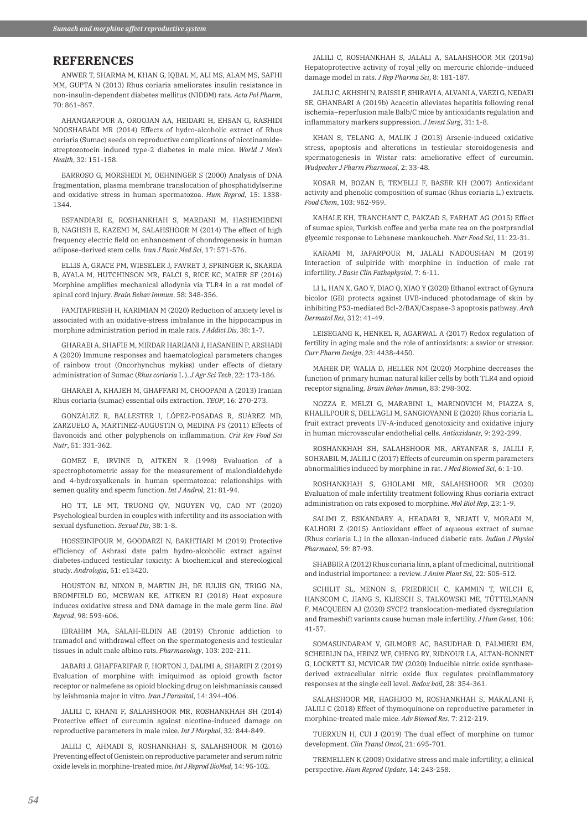# **REFERENCES**

ANWER T, SHARMA M, KHAN G, IQBAL M, ALI MS, ALAM MS, SAFHI MM, GUPTA N (2013) Rhus coriaria ameliorates insulin resistance in non-insulin-dependent diabetes mellitus (NIDDM) rats. *Acta Pol Pharm*, 70: 861-867.

AHANGARPOUR A, OROOJAN AA, HEIDARI H, EHSAN G, RASHIDI NOOSHABADI MR (2014) Effects of hydro-alcoholic extract of Rhus coriaria (Sumac) seeds on reproductive complications of nicotinamidestreptozotocin induced type-2 diabetes in male mice. *World J Men's Health*, 32: 151-158.

BARROSO G, MORSHEDI M, OEHNINGER S (2000) Analysis of DNA fragmentation, plasma membrane translocation of phosphatidylserine and oxidative stress in human spermatozoa. *Hum Reprod*, 15: 1338- 1344.

ESFANDIARI E, ROSHANKHAH S, MARDANI M, HASHEMIBENI B, NAGHSH E, KAZEMI M, SALAHSHOOR M (2014) The effect of high frequency electric field on enhancement of chondrogenesis in human adipose-derived stem cells. *Iran J Basic Med Sci*, 17: 571-576.

ELLIS A, GRACE PM, WIESELER J, FAVRET J, SPRINGER K, SKARDA B, AYALA M, HUTCHINSON MR, FALCI S, RICE KC, MAIER SF (2016) Morphine amplifies mechanical allodynia via TLR4 in a rat model of spinal cord injury. *Brain Behav Immun*, 58: 348-356.

FAMITAFRESHI H, KARIMIAN M (2020) Reduction of anxiety level is associated with an oxidative-stress imbalance in the hippocampus in morphine administration period in male rats. *J Addict Dis*, 38: 1-7.

GHARAEI A, SHAFIE M, MIRDAR HARIJANI J, HASANEIN P, ARSHADI A (2020) Immune responses and haematological parameters changes of rainbow trout (Oncorhynchus mykiss) under effects of dietary administration of Sumac (*Rhus coriaria* L.). *J Agr Sci Tech*, 22: 173-186.

GHARAEI A, KHAJEH M, GHAFFARI M, CHOOPANI A (2013) Iranian Rhus coriaria (sumac) essential oils extraction. *TEOP*, 16: 270-273.

GONZÁLEZ R, BALLESTER I, LÓPEZ-POSADAS R, SUÁREZ MD, ZARZUELO A, MARTINEZ-AUGUSTIN O, MEDINA FS (2011) Effects of flavonoids and other polyphenols on inflammation. *Crit Rev Food Sci Nutr*, 51: 331-362.

GOMEZ E, IRVINE D, AITKEN R (1998) Evaluation of a spectrophotometric assay for the measurement of malondialdehyde and 4-hydroxyalkenals in human spermatozoa: relationships with semen quality and sperm function. *Int J Androl*, 21: 81-94.

HO TT, LE MT, TRUONG QV, NGUYEN VQ, CAO NT (2020) Psychological burden in couples with infertility and its association with sexual dysfunction. *Sexual Dis*, 38: 1-8.

HOSSEINIPOUR M, GOODARZI N, BAKHTIARI M (2019) Protective efficiency of Ashrasi date palm hydro-alcoholic extract against diabetes‐induced testicular toxicity: A biochemical and stereological study. *Andrologia*, 51: e13420.

HOUSTON BJ, NIXON B, MARTIN JH, DE IULIIS GN, TRIGG NA, BROMFIELD EG, MCEWAN KE, AITKEN RJ (2018) Heat exposure induces oxidative stress and DNA damage in the male germ line. *Biol Reprod*, 98: 593-606.

IBRAHIM MA, SALAH-ELDIN AE (2019) Chronic addiction to tramadol and withdrawal effect on the spermatogenesis and testicular tissues in adult male albino rats. *Pharmacology*, 103: 202-211.

JABARI J, GHAFFARIFAR F, HORTON J, DALIMI A, SHARIFI Z (2019) Evaluation of morphine with imiquimod as opioid growth factor receptor or nalmefene as opioid blocking drug on leishmaniasis caused by leishmania major in vitro. *Iran J Parasitol*, 14: 394-406.

JALILI C, KHANI F, SALAHSHOOR MR, ROSHANKHAH SH (2014) Protective effect of curcumin against nicotine-induced damage on reproductive parameters in male mice. *Int J Morphol*, 32: 844-849.

JALILI C, AHMADI S, ROSHANKHAH S, SALAHSHOOR M (2016) Preventing effect of Genistein on reproductive parameter and serum nitric oxide levels in morphine-treated mice. *Int J Reprod BioMed*, 14: 95-102.

JALILI C, ROSHANKHAH S, JALALI A, SALAHSHOOR MR (2019a) Hepatoprotective activity of royal jelly on mercuric chloride–induced damage model in rats. *J Rep Pharma Sci*, 8: 181-187.

JALILI C, AKHSHI N, RAISSI F, SHIRAVI A, ALVANI A, VAEZI G, NEDAEI SE, GHANBARI A (2019b) Acacetin alleviates hepatitis following renal ischemia–reperfusion male Balb/C mice by antioxidants regulation and inflammatory markers suppression. *J Invest Surg*, 31: 1-8.

KHAN S, TELANG A, MALIK J (2013) Arsenic-induced oxidative stress, apoptosis and alterations in testicular steroidogenesis and spermatogenesis in Wistar rats: ameliorative effect of curcumin. *Wudpecker J Pharm Pharmocol*, 2: 33-48.

KOSAR M, BOZAN B, TEMELLI F, BASER KH (2007) Antioxidant activity and phenolic composition of sumac (Rhus coriaria L.) extracts. *Food Chem*, 103: 952-959.

KAHALE KH, TRANCHANT C, PAKZAD S, FARHAT AG (2015) Effect of sumac spice, Turkish coffee and yerba mate tea on the postprandial glycemic response to Lebanese mankoucheh. *Nutr Food Sci*, 11: 22-31.

KARAMI M, JAFARPOUR M, JALALI NADOUSHAN M (2019) Interaction of sulpiride with morphine in induction of male rat infertility. *J Basic Clin Pathophysiol*, 7: 6-11.

LI L, HAN X, GAO Y, DIAO Q, XIAO Y (2020) Ethanol extract of Gynura bicolor (GB) protects against UVB-induced photodamage of skin by inhibiting P53-mediated Bcl-2/BAX/Caspase-3 apoptosis pathway. *Arch Dermatol Res*, 312: 41-49.

LEISEGANG K, HENKEL R, AGARWAL A (2017) Redox regulation of fertility in aging male and the role of antioxidants: a savior or stressor. *Curr Pharm Design*, 23: 4438-4450.

MAHER DP, WALIA D, HELLER NM (2020) Morphine decreases the function of primary human natural killer cells by both TLR4 and opioid receptor signaling. *Brain Behav Immun*, 83: 298-302.

NOZZA E, MELZI G, MARABINI L, MARINOVICH M, PIAZZA S, KHALILPOUR S, DELL'AGLI M, SANGIOVANNI E (2020) Rhus coriaria L. fruit extract prevents UV-A-induced genotoxicity and oxidative injury in human microvascular endothelial cells. *Antioxidants*, 9: 292-299.

ROSHANKHAH SH, SALAHSHOOR MR, ARYANFAR S, JALILI F, SOHRABIL M, JALILI C (2017) Effects of curcumin on sperm parameters abnormalities induced by morphine in rat. *J Med Biomed Sci*, 6: 1-10.

ROSHANKHAH S, GHOLAMI MR, SALAHSHOOR MR (2020) Evaluation of male infertility treatment following Rhus coriaria extract administration on rats exposed to morphine. *Mol Biol Rep*, 23: 1-9.

SALIMI Z, ESKANDARY A, HEADARI R, NEJATI V, MORADI M, KALHORI Z (2015) Antioxidant effect of aqueous extract of sumac (Rhus coriaria L.) in the alloxan-induced diabetic rats. *Indian J Physiol Pharmacol*, 59: 87-93.

SHABBIR A (2012) Rhus coriaria linn, a plant of medicinal, nutritional and industrial importance: a review. *J Anim Plant Sci*, 22: 505-512.

SCHILIT SL, MENON S, FRIEDRICH C, KAMMIN T, WILCH E, HANSCOM C, JIANG S, KLIESCH S, TALKOWSKI ME, TÜTTELMANN F, MACQUEEN AJ (2020) SYCP2 translocation-mediated dysregulation and frameshift variants cause human male infertility. *J Hum Genet*, 106: 41-57.

SOMASUNDARAM V, GILMORE AC, BASUDHAR D, PALMIERI EM, SCHEIBLIN DA, HEINZ WF, CHENG RY, RIDNOUR LA, ALTAN-BONNET G, LOCKETT SJ, MCVICAR DW (2020) Inducible nitric oxide synthasederived extracellular nitric oxide flux regulates proinflammatory responses at the single cell level. *Redox boil*, 28: 354-361.

SALAHSHOOR MR, HAGHJOO M, ROSHANKHAH S, MAKALANI F, JALILI C (2018) Effect of thymoquinone on reproductive parameter in morphine-treated male mice. *Adv Biomed Res*, 7: 212-219.

TUERXUN H, CUI J (2019) The dual effect of morphine on tumor development. *Clin Transl Oncol*, 21: 695-701.

TREMELLEN K (2008) Oxidative stress and male infertility; a clinical perspective. *Hum Reprod Update*, 14: 243-258.